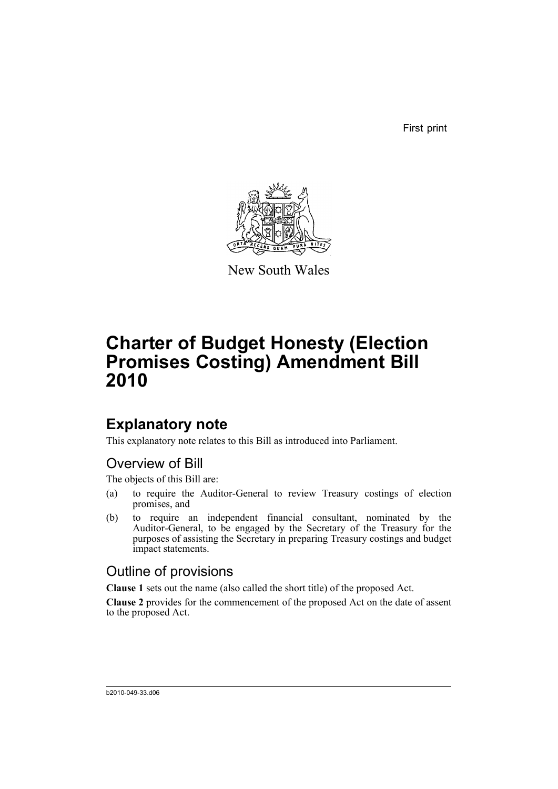First print



New South Wales

# **Charter of Budget Honesty (Election Promises Costing) Amendment Bill 2010**

# **Explanatory note**

This explanatory note relates to this Bill as introduced into Parliament.

## Overview of Bill

The objects of this Bill are:

- (a) to require the Auditor-General to review Treasury costings of election promises, and
- (b) to require an independent financial consultant, nominated by the Auditor-General, to be engaged by the Secretary of the Treasury for the purposes of assisting the Secretary in preparing Treasury costings and budget impact statements.

## Outline of provisions

**Clause 1** sets out the name (also called the short title) of the proposed Act.

**Clause 2** provides for the commencement of the proposed Act on the date of assent to the proposed Act.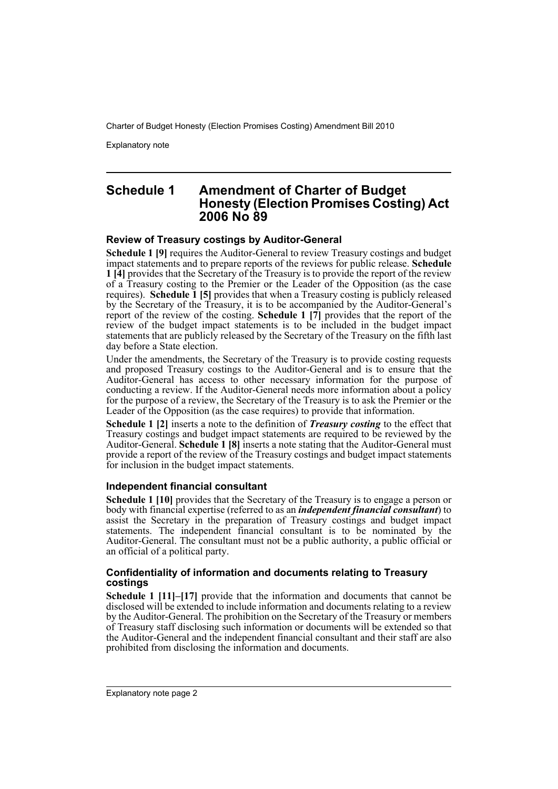Explanatory note

### **Schedule 1 Amendment of Charter of Budget Honesty (Election Promises Costing) Act 2006 No 89**

### **Review of Treasury costings by Auditor-General**

**Schedule 1 [9]** requires the Auditor-General to review Treasury costings and budget impact statements and to prepare reports of the reviews for public release. **Schedule 1 [4]** provides that the Secretary of the Treasury is to provide the report of the review of a Treasury costing to the Premier or the Leader of the Opposition (as the case requires). **Schedule 1 [5]** provides that when a Treasury costing is publicly released by the Secretary of the Treasury, it is to be accompanied by the Auditor-General's report of the review of the costing. **Schedule 1 [7]** provides that the report of the review of the budget impact statements is to be included in the budget impact statements that are publicly released by the Secretary of the Treasury on the fifth last day before a State election.

Under the amendments, the Secretary of the Treasury is to provide costing requests and proposed Treasury costings to the Auditor-General and is to ensure that the Auditor-General has access to other necessary information for the purpose of conducting a review. If the Auditor-General needs more information about a policy for the purpose of a review, the Secretary of the Treasury is to ask the Premier or the Leader of the Opposition (as the case requires) to provide that information.

**Schedule 1 [2]** inserts a note to the definition of *Treasury costing* to the effect that Treasury costings and budget impact statements are required to be reviewed by the Auditor-General. **Schedule 1 [8]** inserts a note stating that the Auditor-General must provide a report of the review of the Treasury costings and budget impact statements for inclusion in the budget impact statements.

### **Independent financial consultant**

**Schedule 1 [10]** provides that the Secretary of the Treasury is to engage a person or body with financial expertise (referred to as an *independent financial consultant*) to body while interest concluse (received to the the material conclusion of the Secretary in the preparation of Treasury costings and budget impact statements. The independent financial consultant is to be nominated by the Auditor-General. The consultant must not be a public authority, a public official or an official of a political party.

### **Confidentiality of information and documents relating to Treasury costings**

**Schedule 1 [11]–[17]** provide that the information and documents that cannot be disclosed will be extended to include information and documents relating to a review by the Auditor-General. The prohibition on the Secretary of the Treasury or members of Treasury staff disclosing such information or documents will be extended so that the Auditor-General and the independent financial consultant and their staff are also prohibited from disclosing the information and documents.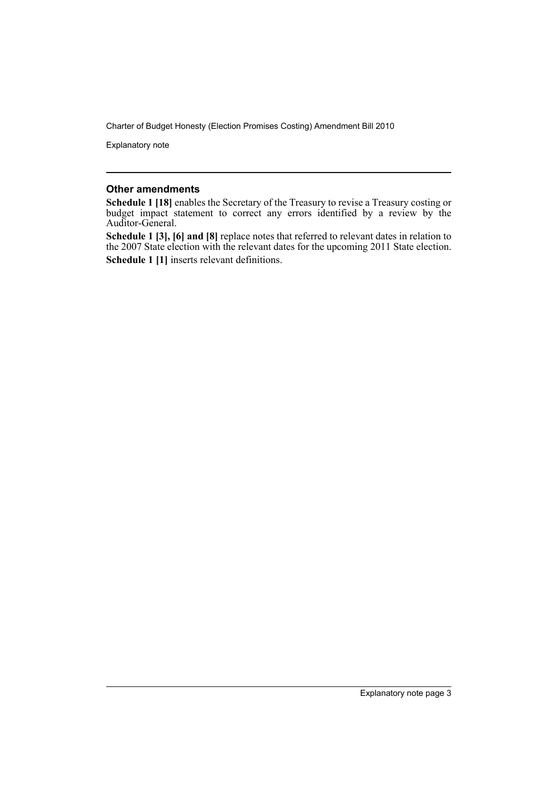Explanatory note

### **Other amendments**

**Schedule 1 [18]** enables the Secretary of the Treasury to revise a Treasury costing or budget impact statement to correct any errors identified by a review by the Auditor-General.

**Schedule 1 [3], [6] and [8]** replace notes that referred to relevant dates in relation to the 2007 State election with the relevant dates for the upcoming 2011 State election. **Schedule 1 [1]** inserts relevant definitions.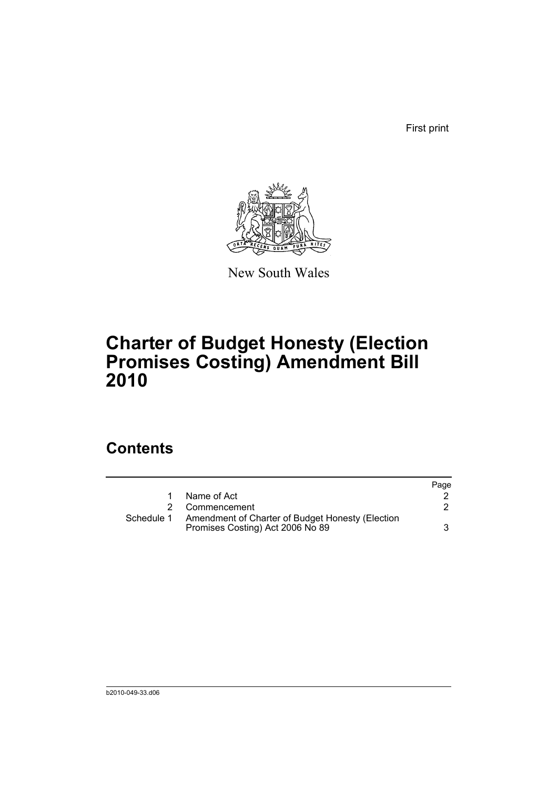First print



New South Wales

# **Charter of Budget Honesty (Election Promises Costing) Amendment Bill 2010**

# **Contents**

|            |                                                                                      | Page |
|------------|--------------------------------------------------------------------------------------|------|
| 1.         | Name of Act                                                                          |      |
|            | 2 Commencement                                                                       |      |
| Schedule 1 | Amendment of Charter of Budget Honesty (Election<br>Promises Costing) Act 2006 No 89 | 3    |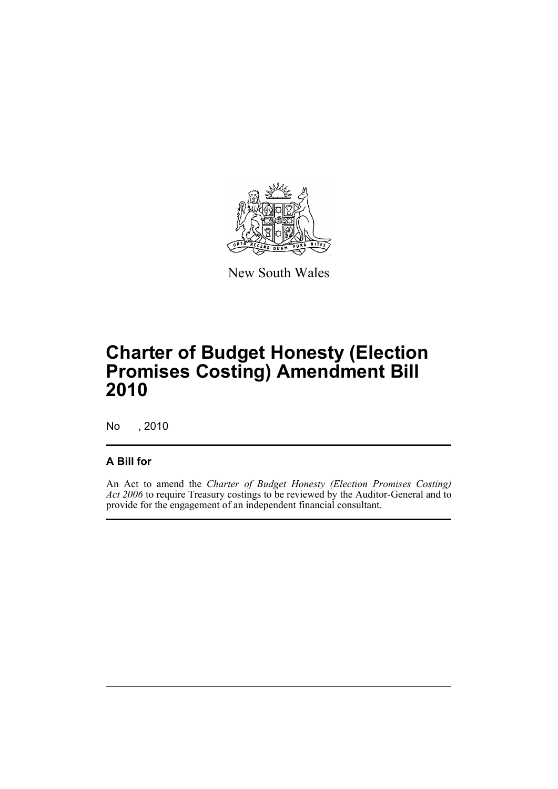

New South Wales

# **Charter of Budget Honesty (Election Promises Costing) Amendment Bill 2010**

No , 2010

### **A Bill for**

An Act to amend the *Charter of Budget Honesty (Election Promises Costing) Act 2006* to require Treasury costings to be reviewed by the Auditor-General and to provide for the engagement of an independent financial consultant.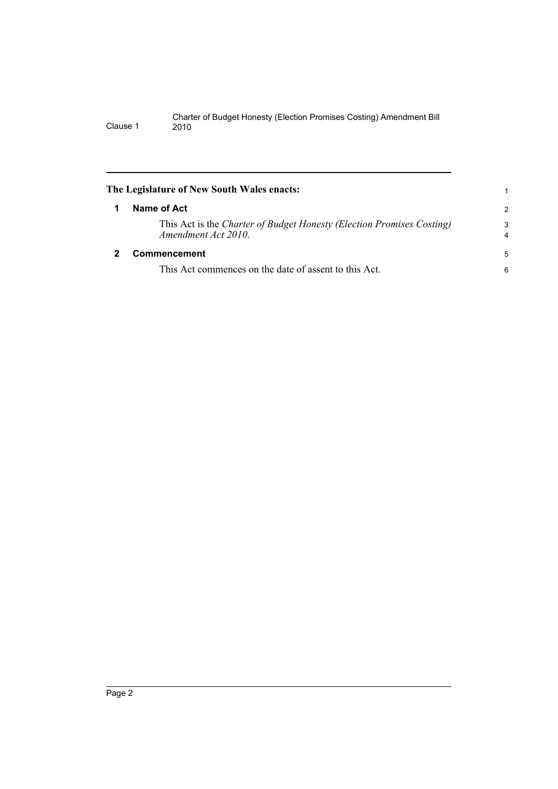<span id="page-7-1"></span><span id="page-7-0"></span>

| The Legislature of New South Wales enacts:                                                   | 1             |
|----------------------------------------------------------------------------------------------|---------------|
| Name of Act                                                                                  | $\mathcal{P}$ |
| This Act is the Charter of Budget Honesty (Election Promises Costing)<br>Amendment Act 2010. | 3<br>4        |
| Commencement                                                                                 |               |
| This Act commences on the date of assent to this Act.                                        | 6             |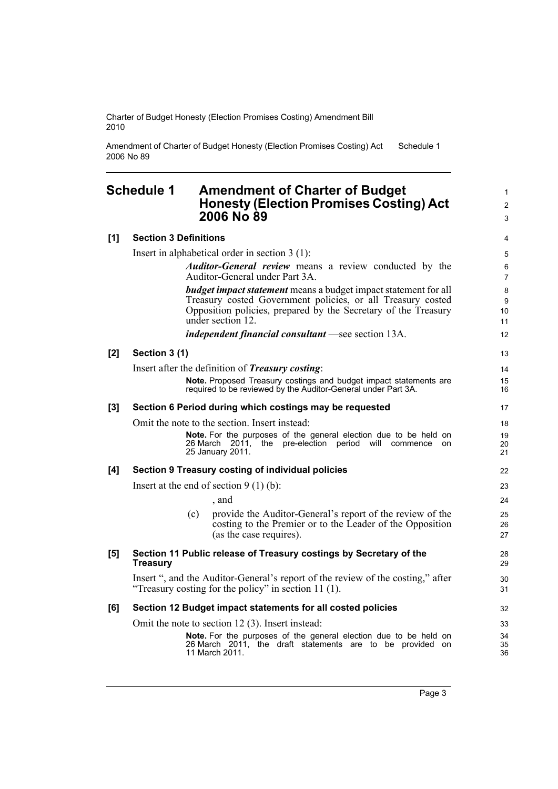Amendment of Charter of Budget Honesty (Election Promises Costing) Act 2006 No 89 Schedule 1

### <span id="page-8-0"></span>**Schedule 1 Amendment of Charter of Budget Honesty (Election Promises Costing) Act 2006 No 89**

#### **[1] Section 3 Definitions** Insert in alphabetical order in section 3 (1): *Auditor-General review* means a review conducted by the Auditor-General under Part 3A. *budget impact statement* means a budget impact statement for all Treasury costed Government policies, or all Treasury costed Opposition policies, prepared by the Secretary of the Treasury under section 12. *independent financial consultant* —see section 13A. **[2] Section 3 (1)** Insert after the definition of *Treasury costing*: **Note.** Proposed Treasury costings and budget impact statements are required to be reviewed by the Auditor-General under Part 3A. **[3] Section 6 Period during which costings may be requested** Omit the note to the section. Insert instead: **Note.** For the purposes of the general election due to be held on 26 March 2011, the pre-election period will commence on the pre-election period will commence on 25 January 2011. **[4] Section 9 Treasury costing of individual policies**  Insert at the end of section 9 (1) (b): , and (c) provide the Auditor-General's report of the review of the costing to the Premier or to the Leader of the Opposition (as the case requires). **[5] Section 11 Public release of Treasury costings by Secretary of the Treasury** Insert ", and the Auditor-General's report of the review of the costing," after "Treasury costing for the policy" in section 11 (1). **[6] Section 12 Budget impact statements for all costed policies** Omit the note to section 12 (3). Insert instead: **Note.** For the purposes of the general election due to be held on 26 March 2011, the draft statements are to be provided on 11 March 2011. 10 11 12 13 14 15 16 17 18 19 20 21 22 23 24 25 26 27 28 29 30 31 32 33 34 35 36

1  $\mathfrak{p}$ 3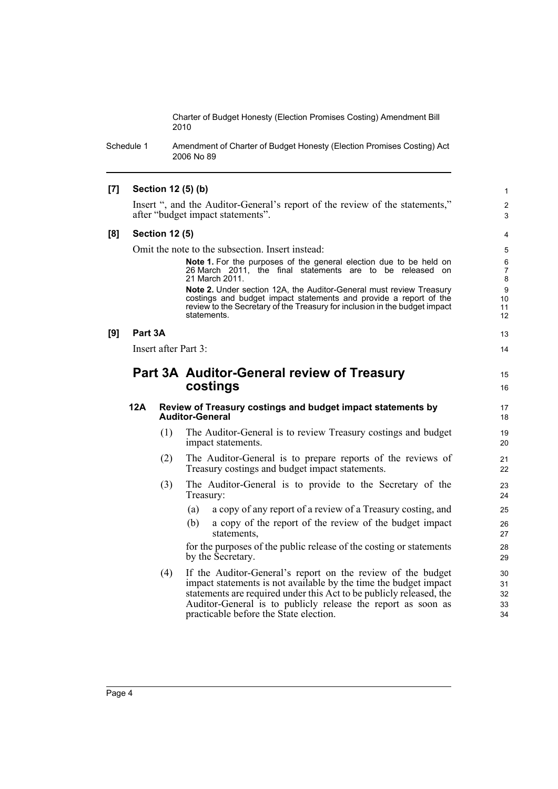Schedule 1 Amendment of Charter of Budget Honesty (Election Promises Costing) Act 2006 No 89

### **[7] Section 12 (5) (b)**

Insert ", and the Auditor-General's report of the review of the statements," after "budget impact statements".

#### **[8] Section 12 (5)**

Omit the note to the subsection. Insert instead:

Note 1. For the purposes of the general election due to be held on 26 March 2011, the final statements are to be released on 21 March 2011.

1 2 3

15 16

**Note 2.** Under section 12A, the Auditor-General must review Treasury costings and budget impact statements and provide a report of the review to the Secretary of the Treasury for inclusion in the budget impact statements.

### **[9] Part 3A**

Insert after Part 3:

## **Part 3A Auditor-General review of Treasury costings**

### **12A Review of Treasury costings and budget impact statements by Auditor-General**

- (1) The Auditor-General is to review Treasury costings and budget impact statements.
- (2) The Auditor-General is to prepare reports of the reviews of Treasury costings and budget impact statements.
- (3) The Auditor-General is to provide to the Secretary of the Treasury:
	- (a) a copy of any report of a review of a Treasury costing, and
	- (b) a copy of the report of the review of the budget impact statements,

for the purposes of the public release of the costing or statements by the Secretary.

(4) If the Auditor-General's report on the review of the budget impact statements is not available by the time the budget impact statements are required under this Act to be publicly released, the Auditor-General is to publicly release the report as soon as practicable before the State election.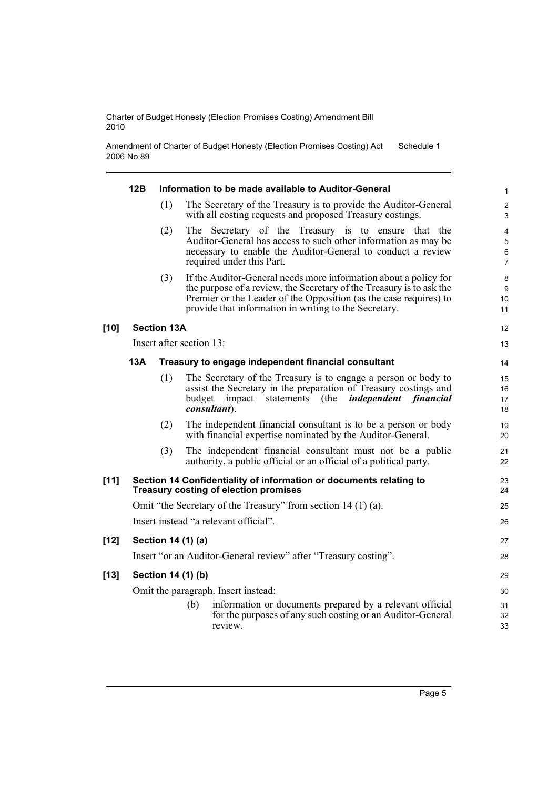Amendment of Charter of Budget Honesty (Election Promises Costing) Act 2006 No 89 Schedule 1

|        | 12B                                                                                                                | Information to be made available to Auditor-General |                                                                                                                                                                                                                                                                        |                               |  |  |
|--------|--------------------------------------------------------------------------------------------------------------------|-----------------------------------------------------|------------------------------------------------------------------------------------------------------------------------------------------------------------------------------------------------------------------------------------------------------------------------|-------------------------------|--|--|
|        |                                                                                                                    | (1)                                                 | The Secretary of the Treasury is to provide the Auditor-General<br>with all costing requests and proposed Treasury costings.                                                                                                                                           | $\overline{c}$<br>3           |  |  |
|        |                                                                                                                    | (2)                                                 | The Secretary of the Treasury is to ensure that the<br>Auditor-General has access to such other information as may be<br>necessary to enable the Auditor-General to conduct a review<br>required under this Part.                                                      | 4<br>5<br>6<br>$\overline{7}$ |  |  |
|        |                                                                                                                    | (3)                                                 | If the Auditor-General needs more information about a policy for<br>the purpose of a review, the Secretary of the Treasury is to ask the<br>Premier or the Leader of the Opposition (as the case requires) to<br>provide that information in writing to the Secretary. | 8<br>9<br>10<br>11            |  |  |
| $[10]$ |                                                                                                                    | <b>Section 13A</b>                                  |                                                                                                                                                                                                                                                                        | 12                            |  |  |
|        | Insert after section 13:                                                                                           |                                                     |                                                                                                                                                                                                                                                                        |                               |  |  |
|        | 13A<br>Treasury to engage independent financial consultant                                                         |                                                     |                                                                                                                                                                                                                                                                        |                               |  |  |
|        |                                                                                                                    | (1)                                                 | The Secretary of the Treasury is to engage a person or body to<br>assist the Secretary in the preparation of Treasury costings and<br>independent financial<br>budget<br>impact<br>statements<br>(the<br>consultant).                                                  | 15<br>16<br>17<br>18          |  |  |
|        |                                                                                                                    | (2)                                                 | The independent financial consultant is to be a person or body<br>with financial expertise nominated by the Auditor-General.                                                                                                                                           | 19<br>20                      |  |  |
|        |                                                                                                                    | (3)                                                 | The independent financial consultant must not be a public<br>authority, a public official or an official of a political party.                                                                                                                                         | 21<br>22                      |  |  |
| [11]   | Section 14 Confidentiality of information or documents relating to<br><b>Treasury costing of election promises</b> |                                                     |                                                                                                                                                                                                                                                                        |                               |  |  |
|        | Omit "the Secretary of the Treasury" from section 14 (1) (a).                                                      |                                                     |                                                                                                                                                                                                                                                                        |                               |  |  |
|        | Insert instead "a relevant official".                                                                              |                                                     |                                                                                                                                                                                                                                                                        |                               |  |  |
| $[12]$ | Section 14 (1) (a)                                                                                                 |                                                     |                                                                                                                                                                                                                                                                        |                               |  |  |
|        | Insert "or an Auditor-General review" after "Treasury costing".                                                    |                                                     |                                                                                                                                                                                                                                                                        |                               |  |  |
| $[13]$ |                                                                                                                    | Section 14 (1) (b)                                  |                                                                                                                                                                                                                                                                        |                               |  |  |
|        | Omit the paragraph. Insert instead:                                                                                |                                                     |                                                                                                                                                                                                                                                                        |                               |  |  |
|        |                                                                                                                    |                                                     | (b)<br>information or documents prepared by a relevant official<br>for the purposes of any such costing or an Auditor-General<br>review.                                                                                                                               | 31<br>32<br>33                |  |  |